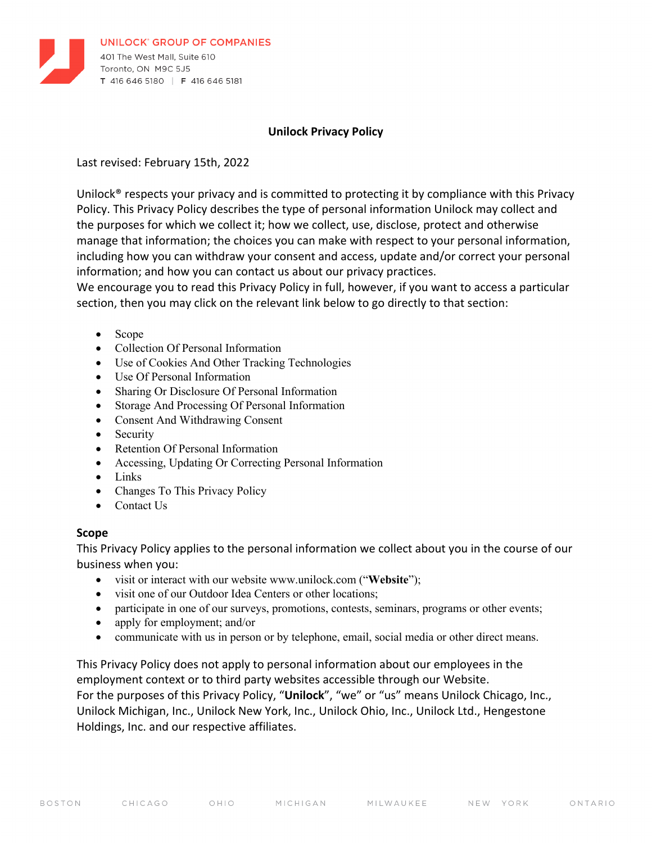

#### **Unilock Privacy Policy**

Last revised: February 15th, 2022

Unilock® respects your privacy and is committed to protecting it by compliance with this Privacy Policy. This Privacy Policy describes the type of personal information Unilock may collect and the purposes for which we collect it; how we collect, use, disclose, protect and otherwise manage that information; the choices you can make with respect to your personal information, including how you can withdraw your consent and access, update and/or correct your personal information; and how you can contact us about our privacy practices.

We encourage you to read this Privacy Policy in full, however, if you want to access a particular section, then you may click on the relevant link below to go directly to that section:

- Scope
- Collection Of Personal Information
- Use of Cookies And Other Tracking Technologies
- Use Of Personal Information
- Sharing Or Disclosure Of Personal Information
- Storage And Processing Of Personal Information
- Consent And Withdrawing Consent
- Security
- Retention Of Personal Information
- Accessing, Updating Or Correcting Personal Information
- Links
- Changes To This Privacy Policy
- Contact Us

#### **Scope**

This Privacy Policy applies to the personal information we collect about you in the course of our business when you:

- visit or interact with our website www.unilock.com ("**Website**");
- visit one of our Outdoor Idea Centers or other locations;
- participate in one of our surveys, promotions, contests, seminars, programs or other events;
- apply for employment; and/or
- communicate with us in person or by telephone, email, social media or other direct means.

This Privacy Policy does not apply to personal information about our employees in the employment context or to third party websites accessible through our Website. For the purposes of this Privacy Policy, "**Unilock**", "we" or "us" means Unilock Chicago, Inc., Unilock Michigan, Inc., Unilock New York, Inc., Unilock Ohio, Inc., Unilock Ltd., Hengestone Holdings, Inc. and our respective affiliates.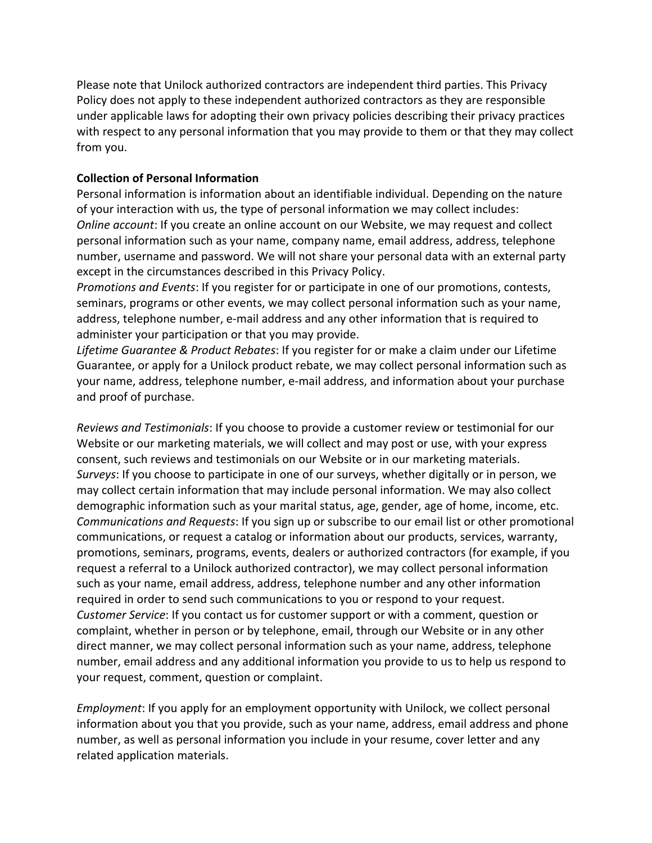Please note that Unilock authorized contractors are independent third parties. This Privacy Policy does not apply to these independent authorized contractors as they are responsible under applicable laws for adopting their own privacy policies describing their privacy practices with respect to any personal information that you may provide to them or that they may collect from you.

## **Collection of Personal Information**

Personal information is information about an identifiable individual. Depending on the nature of your interaction with us, the type of personal information we may collect includes: *Online account*: If you create an online account on our Website, we may request and collect personal information such as your name, company name, email address, address, telephone number, username and password. We will not share your personal data with an external party except in the circumstances described in this Privacy Policy.

*Promotions and Events*: If you register for or participate in one of our promotions, contests, seminars, programs or other events, we may collect personal information such as your name, address, telephone number, e-mail address and any other information that is required to administer your participation or that you may provide.

*Lifetime Guarantee & Product Rebates*: If you register for or make a claim under our Lifetime Guarantee, or apply for a Unilock product rebate, we may collect personal information such as your name, address, telephone number, e-mail address, and information about your purchase and proof of purchase.

*Reviews and Testimonials*: If you choose to provide a customer review or testimonial for our Website or our marketing materials, we will collect and may post or use, with your express consent, such reviews and testimonials on our Website or in our marketing materials. *Surveys*: If you choose to participate in one of our surveys, whether digitally or in person, we may collect certain information that may include personal information. We may also collect demographic information such as your marital status, age, gender, age of home, income, etc. *Communications and Requests*: If you sign up or subscribe to our email list or other promotional communications, or request a catalog or information about our products, services, warranty, promotions, seminars, programs, events, dealers or authorized contractors (for example, if you request a referral to a Unilock authorized contractor), we may collect personal information such as your name, email address, address, telephone number and any other information required in order to send such communications to you or respond to your request. *Customer Service*: If you contact us for customer support or with a comment, question or complaint, whether in person or by telephone, email, through our Website or in any other direct manner, we may collect personal information such as your name, address, telephone number, email address and any additional information you provide to us to help us respond to your request, comment, question or complaint.

*Employment*: If you apply for an employment opportunity with Unilock, we collect personal information about you that you provide, such as your name, address, email address and phone number, as well as personal information you include in your resume, cover letter and any related application materials.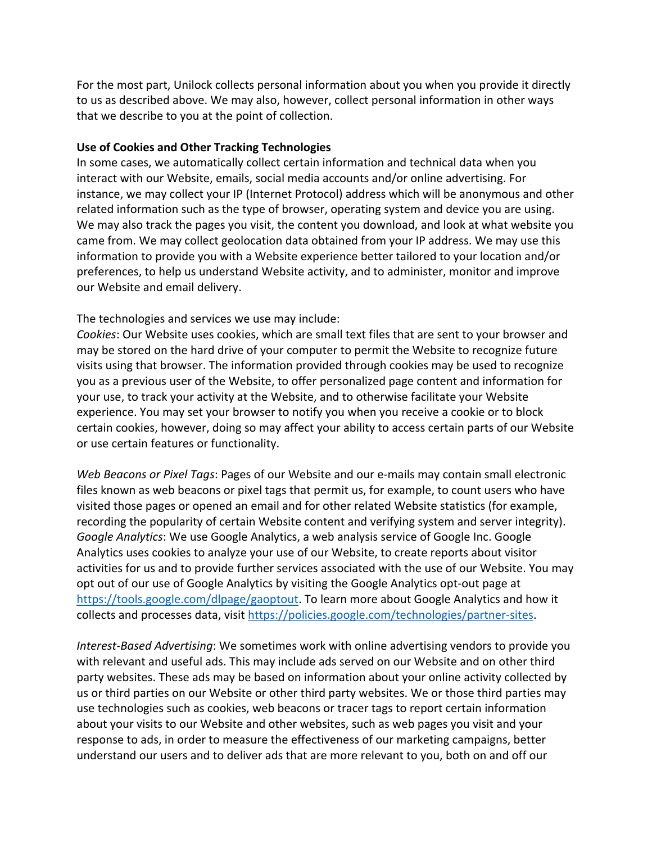For the most part, Unilock collects personal information about you when you provide it directly to us as described above. We may also, however, collect personal information in other ways that we describe to you at the point of collection.

#### **Use of Cookies and Other Tracking Technologies**

In some cases, we automatically collect certain information and technical data when you interact with our Website, emails, social media accounts and/or online advertising. For instance, we may collect your IP (Internet Protocol) address which will be anonymous and other related information such as the type of browser, operating system and device you are using. We may also track the pages you visit, the content you download, and look at what website you came from. We may collect geolocation data obtained from your IP address. We may use this information to provide you with a Website experience better tailored to your location and/or preferences, to help us understand Website activity, and to administer, monitor and improve our Website and email delivery.

## The technologies and services we use may include:

*Cookies*: Our Website uses cookies, which are small text files that are sent to your browser and may be stored on the hard drive of your computer to permit the Website to recognize future visits using that browser. The information provided through cookies may be used to recognize you as a previous user of the Website, to offer personalized page content and information for your use, to track your activity at the Website, and to otherwise facilitate your Website experience. You may set your browser to notify you when you receive a cookie or to block certain cookies, however, doing so may affect your ability to access certain parts of our Website or use certain features or functionality.

*Web Beacons or Pixel Tags*: Pages of our Website and our e-mails may contain small electronic files known as web beacons or pixel tags that permit us, for example, to count users who have visited those pages or opened an email and for other related Website statistics (for example, recording the popularity of certain Website content and verifying system and server integrity). *Google Analytics*: We use Google Analytics, a web analysis service of Google Inc. Google Analytics uses cookies to analyze your use of our Website, to create reports about visitor activities for us and to provide further services associated with the use of our Website. You may opt out of our use of Google Analytics by visiting the Google Analytics opt-out page at https://tools.google.com/dlpage/gaoptout. To learn more about Google Analytics and how it collects and processes data, visit https://policies.google.com/technologies/partner-sites.

*Interest-Based Advertising*: We sometimes work with online advertising vendors to provide you with relevant and useful ads. This may include ads served on our Website and on other third party websites. These ads may be based on information about your online activity collected by us or third parties on our Website or other third party websites. We or those third parties may use technologies such as cookies, web beacons or tracer tags to report certain information about your visits to our Website and other websites, such as web pages you visit and your response to ads, in order to measure the effectiveness of our marketing campaigns, better understand our users and to deliver ads that are more relevant to you, both on and off our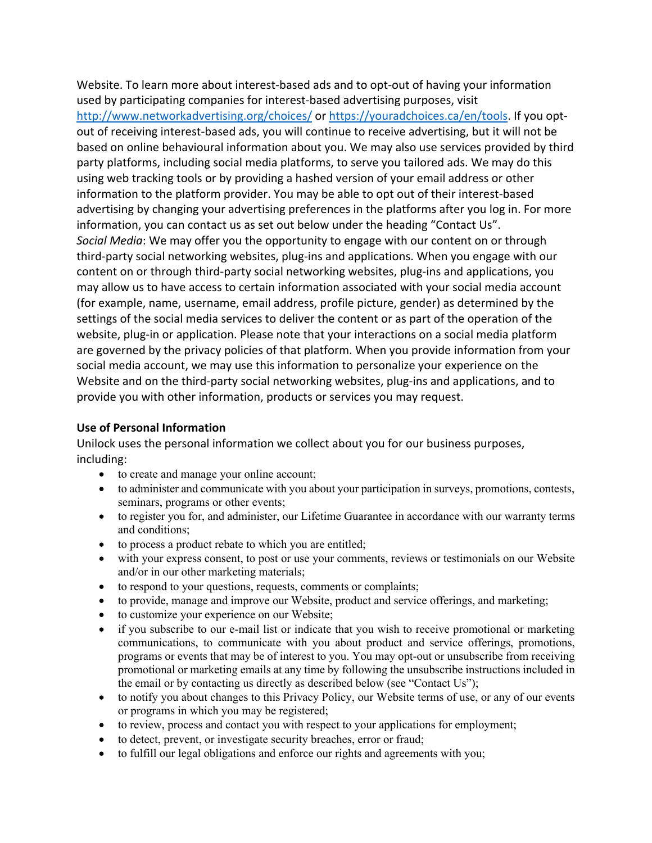Website. To learn more about interest-based ads and to opt-out of having your information used by participating companies for interest-based advertising purposes, visit http://www.networkadvertising.org/choices/ or https://youradchoices.ca/en/tools. If you optout of receiving interest-based ads, you will continue to receive advertising, but it will not be based on online behavioural information about you. We may also use services provided by third party platforms, including social media platforms, to serve you tailored ads. We may do this using web tracking tools or by providing a hashed version of your email address or other information to the platform provider. You may be able to opt out of their interest-based advertising by changing your advertising preferences in the platforms after you log in. For more information, you can contact us as set out below under the heading "Contact Us". *Social Media*: We may offer you the opportunity to engage with our content on or through third-party social networking websites, plug-ins and applications. When you engage with our content on or through third-party social networking websites, plug-ins and applications, you may allow us to have access to certain information associated with your social media account (for example, name, username, email address, profile picture, gender) as determined by the settings of the social media services to deliver the content or as part of the operation of the website, plug-in or application. Please note that your interactions on a social media platform are governed by the privacy policies of that platform. When you provide information from your social media account, we may use this information to personalize your experience on the Website and on the third-party social networking websites, plug-ins and applications, and to provide you with other information, products or services you may request.

### **Use of Personal Information**

Unilock uses the personal information we collect about you for our business purposes, including:

- to create and manage your online account;
- to administer and communicate with you about your participation in surveys, promotions, contests, seminars, programs or other events;
- to register you for, and administer, our Lifetime Guarantee in accordance with our warranty terms and conditions;
- to process a product rebate to which you are entitled;
- with your express consent, to post or use your comments, reviews or testimonials on our Website and/or in our other marketing materials;
- to respond to your questions, requests, comments or complaints;
- to provide, manage and improve our Website, product and service offerings, and marketing;
- to customize your experience on our Website;
- if you subscribe to our e-mail list or indicate that you wish to receive promotional or marketing communications, to communicate with you about product and service offerings, promotions, programs or events that may be of interest to you. You may opt-out or unsubscribe from receiving promotional or marketing emails at any time by following the unsubscribe instructions included in the email or by contacting us directly as described below (see "Contact Us");
- to notify you about changes to this Privacy Policy, our Website terms of use, or any of our events or programs in which you may be registered;
- to review, process and contact you with respect to your applications for employment;
- to detect, prevent, or investigate security breaches, error or fraud;
- to fulfill our legal obligations and enforce our rights and agreements with you;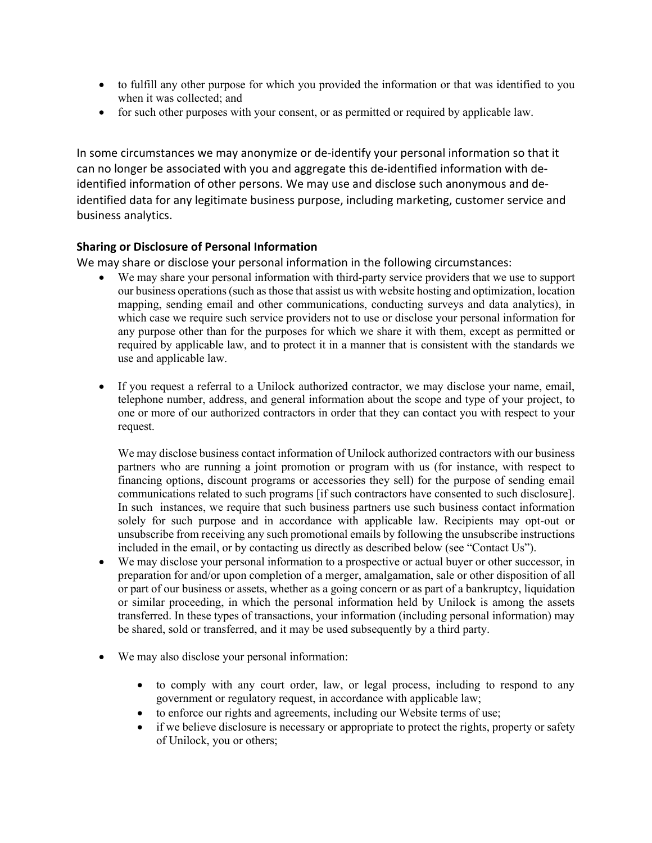- to fulfill any other purpose for which you provided the information or that was identified to you when it was collected; and
- for such other purposes with your consent, or as permitted or required by applicable law.

In some circumstances we may anonymize or de-identify your personal information so that it can no longer be associated with you and aggregate this de-identified information with deidentified information of other persons. We may use and disclose such anonymous and deidentified data for any legitimate business purpose, including marketing, customer service and business analytics.

## **Sharing or Disclosure of Personal Information**

We may share or disclose your personal information in the following circumstances:

- We may share your personal information with third-party service providers that we use to support our business operations (such as those that assist us with website hosting and optimization, location mapping, sending email and other communications, conducting surveys and data analytics), in which case we require such service providers not to use or disclose your personal information for any purpose other than for the purposes for which we share it with them, except as permitted or required by applicable law, and to protect it in a manner that is consistent with the standards we use and applicable law.
- If you request a referral to a Unilock authorized contractor, we may disclose your name, email, telephone number, address, and general information about the scope and type of your project, to one or more of our authorized contractors in order that they can contact you with respect to your request.

We may disclose business contact information of Unilock authorized contractors with our business partners who are running a joint promotion or program with us (for instance, with respect to financing options, discount programs or accessories they sell) for the purpose of sending email communications related to such programs [if such contractors have consented to such disclosure]. In such instances, we require that such business partners use such business contact information solely for such purpose and in accordance with applicable law. Recipients may opt-out or unsubscribe from receiving any such promotional emails by following the unsubscribe instructions included in the email, or by contacting us directly as described below (see "Contact Us").

- We may disclose your personal information to a prospective or actual buyer or other successor, in preparation for and/or upon completion of a merger, amalgamation, sale or other disposition of all or part of our business or assets, whether as a going concern or as part of a bankruptcy, liquidation or similar proceeding, in which the personal information held by Unilock is among the assets transferred. In these types of transactions, your information (including personal information) may be shared, sold or transferred, and it may be used subsequently by a third party.
- We may also disclose your personal information:
	- to comply with any court order, law, or legal process, including to respond to any government or regulatory request, in accordance with applicable law;
	- to enforce our rights and agreements, including our Website terms of use;
	- if we believe disclosure is necessary or appropriate to protect the rights, property or safety of Unilock, you or others;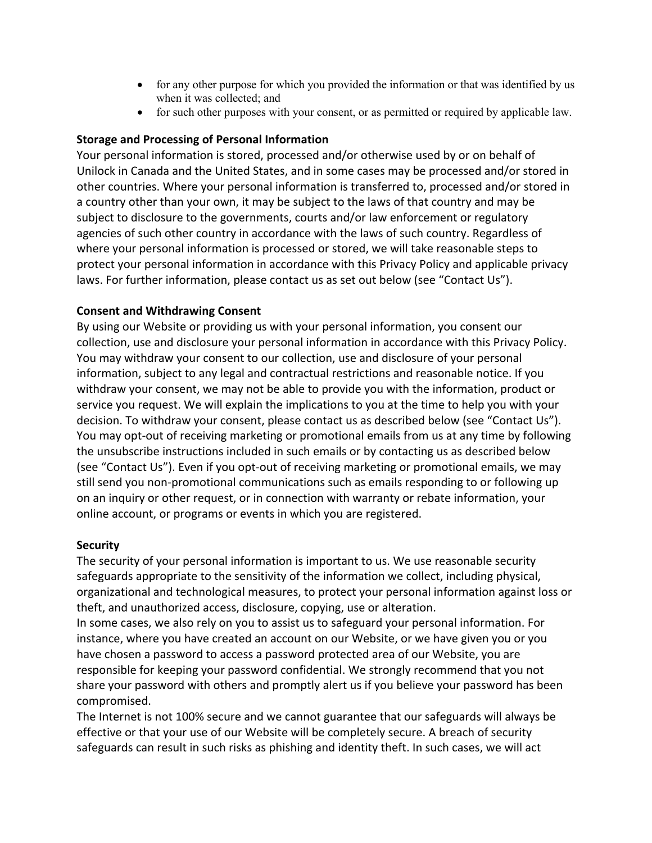- for any other purpose for which you provided the information or that was identified by us when it was collected; and
- for such other purposes with your consent, or as permitted or required by applicable law.

## **Storage and Processing of Personal Information**

Your personal information is stored, processed and/or otherwise used by or on behalf of Unilock in Canada and the United States, and in some cases may be processed and/or stored in other countries. Where your personal information is transferred to, processed and/or stored in a country other than your own, it may be subject to the laws of that country and may be subject to disclosure to the governments, courts and/or law enforcement or regulatory agencies of such other country in accordance with the laws of such country. Regardless of where your personal information is processed or stored, we will take reasonable steps to protect your personal information in accordance with this Privacy Policy and applicable privacy laws. For further information, please contact us as set out below (see "Contact Us").

#### **Consent and Withdrawing Consent**

By using our Website or providing us with your personal information, you consent our collection, use and disclosure your personal information in accordance with this Privacy Policy. You may withdraw your consent to our collection, use and disclosure of your personal information, subject to any legal and contractual restrictions and reasonable notice. If you withdraw your consent, we may not be able to provide you with the information, product or service you request. We will explain the implications to you at the time to help you with your decision. To withdraw your consent, please contact us as described below (see "Contact Us"). You may opt-out of receiving marketing or promotional emails from us at any time by following the unsubscribe instructions included in such emails or by contacting us as described below (see "Contact Us"). Even if you opt-out of receiving marketing or promotional emails, we may still send you non-promotional communications such as emails responding to or following up on an inquiry or other request, or in connection with warranty or rebate information, your online account, or programs or events in which you are registered.

#### **Security**

The security of your personal information is important to us. We use reasonable security safeguards appropriate to the sensitivity of the information we collect, including physical, organizational and technological measures, to protect your personal information against loss or theft, and unauthorized access, disclosure, copying, use or alteration.

In some cases, we also rely on you to assist us to safeguard your personal information. For instance, where you have created an account on our Website, or we have given you or you have chosen a password to access a password protected area of our Website, you are responsible for keeping your password confidential. We strongly recommend that you not share your password with others and promptly alert us if you believe your password has been compromised.

The Internet is not 100% secure and we cannot guarantee that our safeguards will always be effective or that your use of our Website will be completely secure. A breach of security safeguards can result in such risks as phishing and identity theft. In such cases, we will act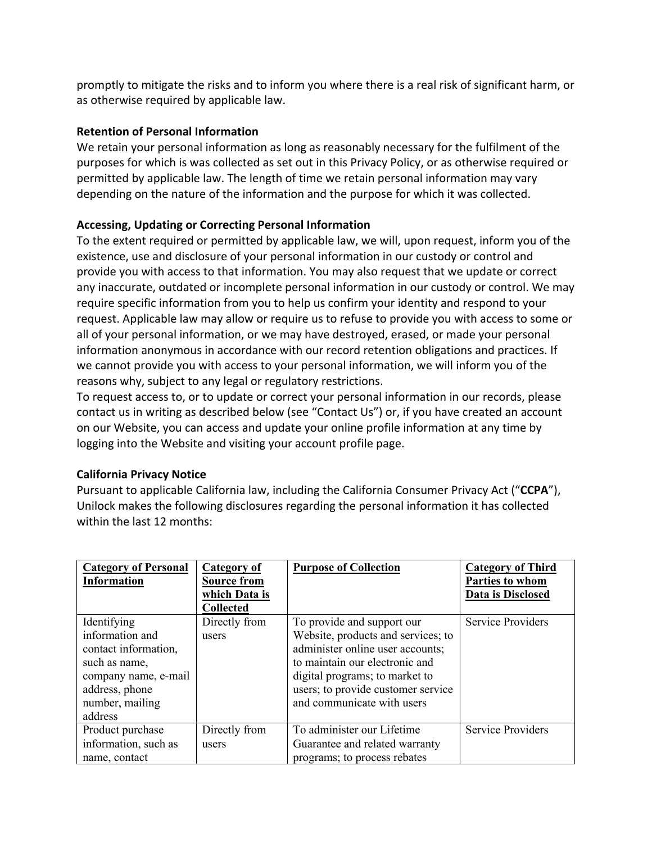promptly to mitigate the risks and to inform you where there is a real risk of significant harm, or as otherwise required by applicable law.

## **Retention of Personal Information**

We retain your personal information as long as reasonably necessary for the fulfilment of the purposes for which is was collected as set out in this Privacy Policy, or as otherwise required or permitted by applicable law. The length of time we retain personal information may vary depending on the nature of the information and the purpose for which it was collected.

## **Accessing, Updating or Correcting Personal Information**

To the extent required or permitted by applicable law, we will, upon request, inform you of the existence, use and disclosure of your personal information in our custody or control and provide you with access to that information. You may also request that we update or correct any inaccurate, outdated or incomplete personal information in our custody or control. We may require specific information from you to help us confirm your identity and respond to your request. Applicable law may allow or require us to refuse to provide you with access to some or all of your personal information, or we may have destroyed, erased, or made your personal information anonymous in accordance with our record retention obligations and practices. If we cannot provide you with access to your personal information, we will inform you of the reasons why, subject to any legal or regulatory restrictions.

To request access to, or to update or correct your personal information in our records, please contact us in writing as described below (see "Contact Us") or, if you have created an account on our Website, you can access and update your online profile information at any time by logging into the Website and visiting your account profile page.

#### **California Privacy Notice**

Pursuant to applicable California law, including the California Consumer Privacy Act ("**CCPA**"), Unilock makes the following disclosures regarding the personal information it has collected within the last 12 months:

| <b>Category of Personal</b><br><b>Information</b>                                                                                               | Category of<br><b>Source from</b><br>which Data is<br><b>Collected</b> | <b>Purpose of Collection</b>                                                                                                                                                                                                                 | <b>Category of Third</b><br>Parties to whom<br>Data is Disclosed |
|-------------------------------------------------------------------------------------------------------------------------------------------------|------------------------------------------------------------------------|----------------------------------------------------------------------------------------------------------------------------------------------------------------------------------------------------------------------------------------------|------------------------------------------------------------------|
| Identifying<br>information and<br>contact information,<br>such as name,<br>company name, e-mail<br>address, phone<br>number, mailing<br>address | Directly from<br>users                                                 | To provide and support our<br>Website, products and services; to<br>administer online user accounts;<br>to maintain our electronic and<br>digital programs; to market to<br>users; to provide customer service<br>and communicate with users | <b>Service Providers</b>                                         |
| Product purchase<br>information, such as<br>name, contact                                                                                       | Directly from<br>users                                                 | To administer our Lifetime<br>Guarantee and related warranty<br>programs; to process rebates                                                                                                                                                 | <b>Service Providers</b>                                         |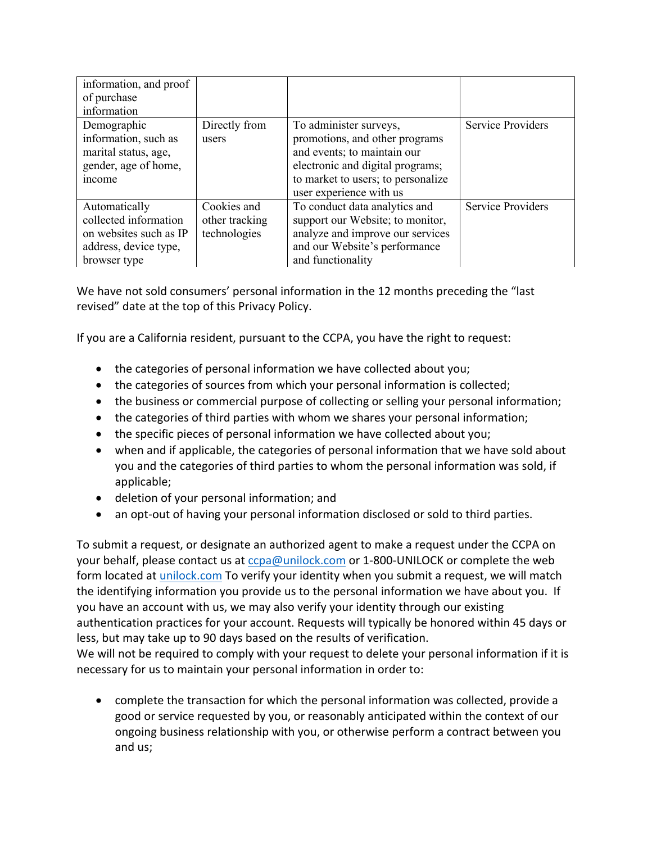| information, and proof<br>of purchase<br>information                                                      |                                               |                                                                                                                                                                                              |                          |
|-----------------------------------------------------------------------------------------------------------|-----------------------------------------------|----------------------------------------------------------------------------------------------------------------------------------------------------------------------------------------------|--------------------------|
| Demographic<br>information, such as<br>marital status, age,<br>gender, age of home,<br><i>ncome</i>       | Directly from<br>users                        | To administer surveys,<br>promotions, and other programs<br>and events; to maintain our<br>electronic and digital programs;<br>to market to users; to personalize<br>user experience with us | <b>Service Providers</b> |
| Automatically<br>collected information<br>on websites such as IP<br>address, device type,<br>browser type | Cookies and<br>other tracking<br>technologies | To conduct data analytics and<br>support our Website; to monitor,<br>analyze and improve our services<br>and our Website's performance<br>and functionality                                  | <b>Service Providers</b> |

We have not sold consumers' personal information in the 12 months preceding the "last revised" date at the top of this Privacy Policy.

If you are a California resident, pursuant to the CCPA, you have the right to request:

- the categories of personal information we have collected about you;
- the categories of sources from which your personal information is collected;
- the business or commercial purpose of collecting or selling your personal information;
- the categories of third parties with whom we shares your personal information;
- the specific pieces of personal information we have collected about you;
- when and if applicable, the categories of personal information that we have sold about you and the categories of third parties to whom the personal information was sold, if applicable;
- deletion of your personal information; and
- an opt-out of having your personal information disclosed or sold to third parties.

To submit a request, or designate an authorized agent to make a request under the CCPA on your behalf, please contact us at ccpa@unilock.com or 1-800-UNILOCK or complete the web form located at unilock.com To verify your identity when you submit a request, we will match the identifying information you provide us to the personal information we have about you. If you have an account with us, we may also verify your identity through our existing authentication practices for your account. Requests will typically be honored within 45 days or less, but may take up to 90 days based on the results of verification.

We will not be required to comply with your request to delete your personal information if it is necessary for us to maintain your personal information in order to:

• complete the transaction for which the personal information was collected, provide a good or service requested by you, or reasonably anticipated within the context of our ongoing business relationship with you, or otherwise perform a contract between you and us;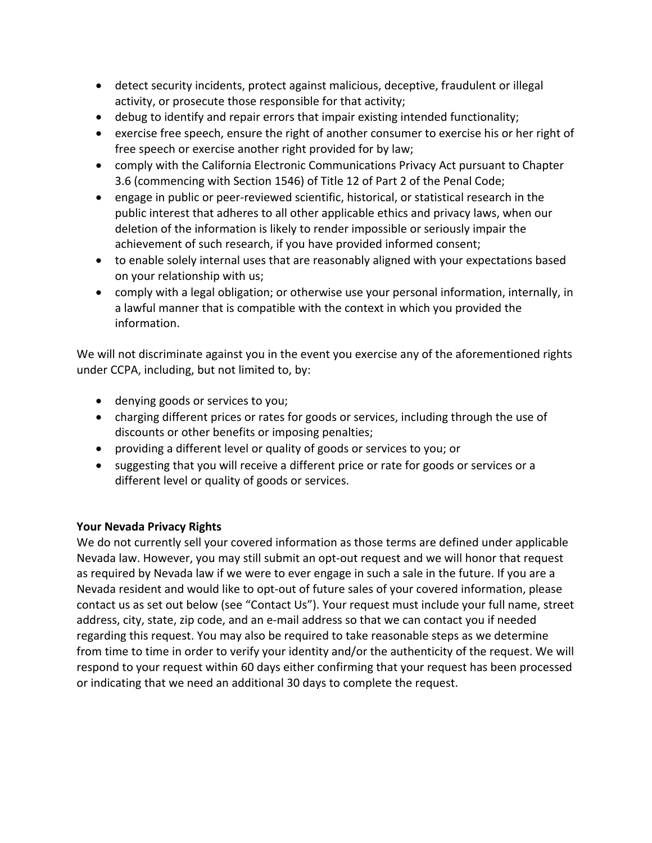- detect security incidents, protect against malicious, deceptive, fraudulent or illegal activity, or prosecute those responsible for that activity;
- debug to identify and repair errors that impair existing intended functionality;
- exercise free speech, ensure the right of another consumer to exercise his or her right of free speech or exercise another right provided for by law;
- comply with the California Electronic Communications Privacy Act pursuant to Chapter 3.6 (commencing with Section 1546) of Title 12 of Part 2 of the Penal Code;
- engage in public or peer-reviewed scientific, historical, or statistical research in the public interest that adheres to all other applicable ethics and privacy laws, when our deletion of the information is likely to render impossible or seriously impair the achievement of such research, if you have provided informed consent;
- to enable solely internal uses that are reasonably aligned with your expectations based on your relationship with us;
- comply with a legal obligation; or otherwise use your personal information, internally, in a lawful manner that is compatible with the context in which you provided the information.

We will not discriminate against you in the event you exercise any of the aforementioned rights under CCPA, including, but not limited to, by:

- denying goods or services to you;
- charging different prices or rates for goods or services, including through the use of discounts or other benefits or imposing penalties;
- providing a different level or quality of goods or services to you; or
- suggesting that you will receive a different price or rate for goods or services or a different level or quality of goods or services.

# **Your Nevada Privacy Rights**

We do not currently sell your covered information as those terms are defined under applicable Nevada law. However, you may still submit an opt-out request and we will honor that request as required by Nevada law if we were to ever engage in such a sale in the future. If you are a Nevada resident and would like to opt-out of future sales of your covered information, please contact us as set out below (see "Contact Us"). Your request must include your full name, street address, city, state, zip code, and an e-mail address so that we can contact you if needed regarding this request. You may also be required to take reasonable steps as we determine from time to time in order to verify your identity and/or the authenticity of the request. We will respond to your request within 60 days either confirming that your request has been processed or indicating that we need an additional 30 days to complete the request.